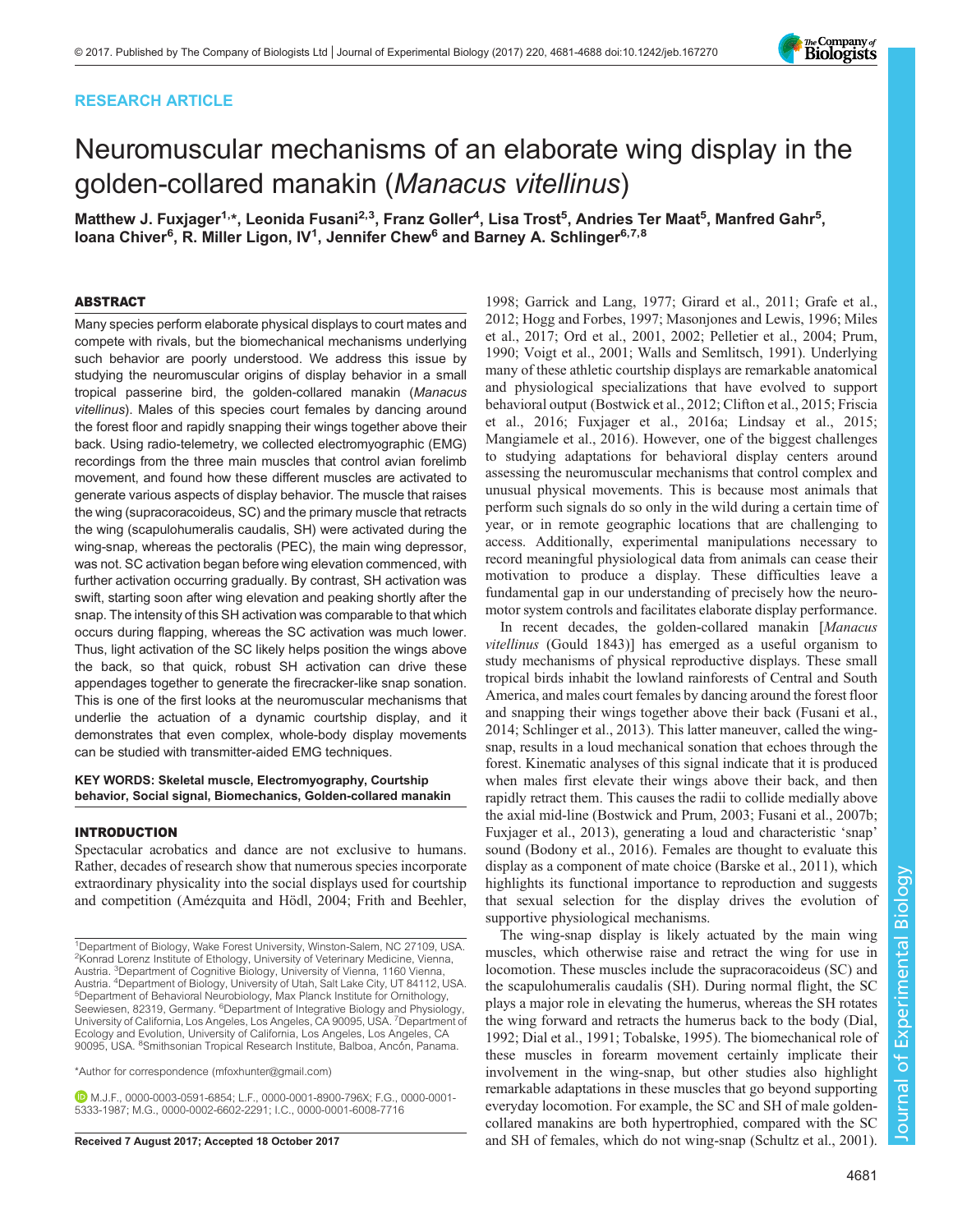# RESEARCH ARTICLE



# Neuromuscular mechanisms of an elaborate wing display in the golden-collared manakin (Manacus vitellinus)

Matthew J. Fuxjager<sup>1,</sup>\*, Leonida Fusani<sup>2,3</sup>, Franz Goller<sup>4</sup>, Lisa Trost<sup>5</sup>, Andries Ter Maat<sup>5</sup>, Manfred Gahr<sup>5</sup>, loana Chiver<sup>6</sup>, R. Miller Ligon, IV<sup>1</sup>, Jennifer Chew<sup>6</sup> and Barney A. Schlinger<sup>6,7,8</sup>

# ABSTRACT

Many species perform elaborate physical displays to court mates and compete with rivals, but the biomechanical mechanisms underlying such behavior are poorly understood. We address this issue by studying the neuromuscular origins of display behavior in a small tropical passerine bird, the golden-collared manakin (Manacus vitellinus). Males of this species court females by dancing around the forest floor and rapidly snapping their wings together above their back. Using radio-telemetry, we collected electromyographic (EMG) recordings from the three main muscles that control avian forelimb movement, and found how these different muscles are activated to generate various aspects of display behavior. The muscle that raises the wing (supracoracoideus, SC) and the primary muscle that retracts the wing (scapulohumeralis caudalis, SH) were activated during the wing-snap, whereas the pectoralis (PEC), the main wing depressor, was not. SC activation began before wing elevation commenced, with further activation occurring gradually. By contrast, SH activation was swift, starting soon after wing elevation and peaking shortly after the snap. The intensity of this SH activation was comparable to that which occurs during flapping, whereas the SC activation was much lower. Thus, light activation of the SC likely helps position the wings above the back, so that quick, robust SH activation can drive these appendages together to generate the firecracker-like snap sonation. This is one of the first looks at the neuromuscular mechanisms that underlie the actuation of a dynamic courtship display, and it demonstrates that even complex, whole-body display movements can be studied with transmitter-aided EMG techniques.

# KEY WORDS: Skeletal muscle, Electromyography, Courtship behavior, Social signal, Biomechanics, Golden-collared manakin

## INTRODUCTION

Spectacular acrobatics and dance are not exclusive to humans. Rather, decades of research show that numerous species incorporate extraordinary physicality into the social displays used for courtship and competition ([Amézquita and Hödl, 2004](#page-6-0); [Frith and Beehler,](#page-6-0)

\*Author for correspondence [\(mfoxhunter@gmail.com\)](mailto:mfoxhunter@gmail.com)

M.J.F., [0000-0003-0591-6854](http://orcid.org/0000-0003-0591-6854); L.F., [0000-0001-8900-796X](http://orcid.org/0000-0001-8900-796X); F.G., [0000-0001-](http://orcid.org/0000-0001-5333-1987) [5333-1987](http://orcid.org/0000-0001-5333-1987); M.G., [0000-0002-6602-2291;](http://orcid.org/0000-0002-6602-2291) I.C., [0000-0001-6008-7716](http://orcid.org/0000-0001-6008-7716)

[1998;](#page-6-0) [Garrick and Lang, 1977; Girard et al., 2011; Grafe et al.,](#page-7-0) [2012; Hogg and Forbes, 1997; Masonjones and Lewis, 1996; Miles](#page-7-0) [et al., 2017](#page-7-0); [Ord et al., 2001](#page-7-0), [2002](#page-7-0); [Pelletier et al., 2004](#page-7-0); [Prum,](#page-7-0) [1990; Voigt et al., 2001](#page-7-0); [Walls and Semlitsch, 1991\)](#page-7-0). Underlying many of these athletic courtship displays are remarkable anatomical and physiological specializations that have evolved to support behavioral output ([Bostwick et al., 2012; Clifton et al., 2015](#page-6-0); [Friscia](#page-6-0) [et al., 2016](#page-6-0); [Fuxjager et al., 2016a](#page-6-0); [Lindsay et al., 2015](#page-7-0); [Mangiamele et al., 2016\)](#page-7-0). However, one of the biggest challenges to studying adaptations for behavioral display centers around assessing the neuromuscular mechanisms that control complex and unusual physical movements. This is because most animals that perform such signals do so only in the wild during a certain time of year, or in remote geographic locations that are challenging to access. Additionally, experimental manipulations necessary to record meaningful physiological data from animals can cease their motivation to produce a display. These difficulties leave a fundamental gap in our understanding of precisely how the neuromotor system controls and facilitates elaborate display performance.

In recent decades, the golden-collared manakin [Manacus vitellinus (Gould 1843)] has emerged as a useful organism to study mechanisms of physical reproductive displays. These small tropical birds inhabit the lowland rainforests of Central and South America, and males court females by dancing around the forest floor and snapping their wings together above their back ([Fusani et al.,](#page-6-0) [2014;](#page-6-0) [Schlinger et al., 2013](#page-7-0)). This latter maneuver, called the wingsnap, results in a loud mechanical sonation that echoes through the forest. Kinematic analyses of this signal indicate that it is produced when males first elevate their wings above their back, and then rapidly retract them. This causes the radii to collide medially above the axial mid-line ([Bostwick and Prum, 2003](#page-6-0); [Fusani et al., 2007b](#page-6-0); [Fuxjager et al., 2013](#page-6-0)), generating a loud and characteristic 'snap' sound ([Bodony et al., 2016](#page-6-0)). Females are thought to evaluate this display as a component of mate choice ([Barske et al., 2011](#page-6-0)), which highlights its functional importance to reproduction and suggests that sexual selection for the display drives the evolution of supportive physiological mechanisms.

The wing-snap display is likely actuated by the main wing muscles, which otherwise raise and retract the wing for use in locomotion. These muscles include the supracoracoideus (SC) and the scapulohumeralis caudalis (SH). During normal flight, the SC plays a major role in elevating the humerus, whereas the SH rotates the wing forward and retracts the humerus back to the body [\(Dial,](#page-6-0) [1992; Dial et al., 1991;](#page-6-0) [Tobalske, 1995](#page-7-0)). The biomechanical role of these muscles in forearm movement certainly implicate their involvement in the wing-snap, but other studies also highlight remarkable adaptations in these muscles that go beyond supporting everyday locomotion. For example, the SC and SH of male goldencollared manakins are both hypertrophied, compared with the SC Received 7 August 2017; Accepted 18 October 2017 and SH of females, which do not wing-snap [\(Schultz et al., 2001\)](#page-7-0).

<sup>&</sup>lt;sup>1</sup>Department of Biology, Wake Forest University, Winston-Salem, NC 27109, USA. <sup>2</sup> Konrad Lorenz Institute of Ethology, University of Veterinary Medicine, Vienna, Austria. <sup>3</sup> Department of Cognitive Biology, University of Vienna, 1160 Vienna, Austria. <sup>4</sup>Department of Biology, University of Utah, Salt Lake City, UT 84112, USA.<br><sup>5</sup>Department of Behavioral Neurobiology, Max Planck Institute for Ornithology, Seewiesen, 82319, Germany. <sup>6</sup>Department of Integrative Biology and Physiology, University of California, Los Angeles, Los Angeles, CA 90095, USA. <sup>7</sup> Department of Ecology and Evolution, University of California, Los Angeles, Los Angeles, CA 90095, USA. <sup>8</sup>Smithsonian Tropical Research Institute, Balboa, Ancón, Panama.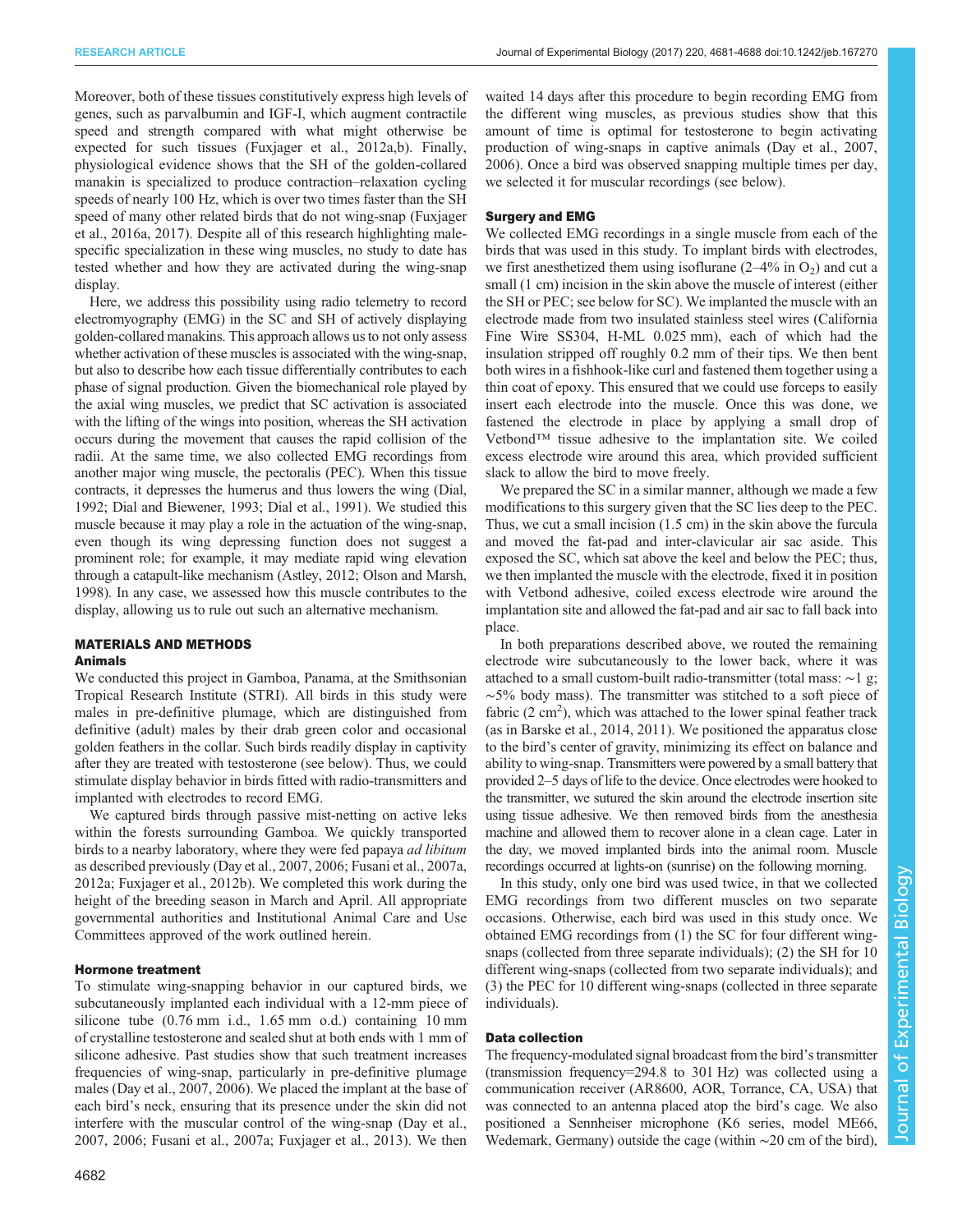Moreover, both of these tissues constitutively express high levels of genes, such as parvalbumin and IGF-I, which augment contractile speed and strength compared with what might otherwise be expected for such tissues ([Fuxjager et al., 2012a,b\)](#page-6-0). Finally, physiological evidence shows that the SH of the golden-collared manakin is specialized to produce contraction–relaxation cycling speeds of nearly 100 Hz, which is over two times faster than the SH speed of many other related birds that do not wing-snap ([Fuxjager](#page-6-0) [et al., 2016a, 2017\)](#page-6-0). Despite all of this research highlighting malespecific specialization in these wing muscles, no study to date has tested whether and how they are activated during the wing-snap display.

Here, we address this possibility using radio telemetry to record electromyography (EMG) in the SC and SH of actively displaying golden-collared manakins. This approach allows us to not only assess whether activation of these muscles is associated with the wing-snap, but also to describe how each tissue differentially contributes to each phase of signal production. Given the biomechanical role played by the axial wing muscles, we predict that SC activation is associated with the lifting of the wings into position, whereas the SH activation occurs during the movement that causes the rapid collision of the radii. At the same time, we also collected EMG recordings from another major wing muscle, the pectoralis (PEC). When this tissue contracts, it depresses the humerus and thus lowers the wing ([Dial,](#page-6-0) [1992; Dial and Biewener, 1993](#page-6-0); [Dial et al., 1991](#page-6-0)). We studied this muscle because it may play a role in the actuation of the wing-snap, even though its wing depressing function does not suggest a prominent role; for example, it may mediate rapid wing elevation through a catapult-like mechanism [\(Astley, 2012](#page-6-0); [Olson and Marsh,](#page-7-0) [1998\)](#page-7-0). In any case, we assessed how this muscle contributes to the display, allowing us to rule out such an alternative mechanism.

# MATERIALS AND METHODS

# Animals

We conducted this project in Gamboa, Panama, at the Smithsonian Tropical Research Institute (STRI). All birds in this study were males in pre-definitive plumage, which are distinguished from definitive (adult) males by their drab green color and occasional golden feathers in the collar. Such birds readily display in captivity after they are treated with testosterone (see below). Thus, we could stimulate display behavior in birds fitted with radio-transmitters and implanted with electrodes to record EMG.

We captured birds through passive mist-netting on active leks within the forests surrounding Gamboa. We quickly transported birds to a nearby laboratory, where they were fed papaya ad libitum as described previously [\(Day et al., 2007](#page-6-0), [2006](#page-6-0); [Fusani et al., 2007a,](#page-6-0) [2012a](#page-6-0); [Fuxjager et al., 2012b\)](#page-6-0). We completed this work during the height of the breeding season in March and April. All appropriate governmental authorities and Institutional Animal Care and Use Committees approved of the work outlined herein.

## Hormone treatment

To stimulate wing-snapping behavior in our captured birds, we subcutaneously implanted each individual with a 12-mm piece of silicone tube (0.76 mm i.d., 1.65 mm o.d.) containing 10 mm of crystalline testosterone and sealed shut at both ends with 1 mm of silicone adhesive. Past studies show that such treatment increases frequencies of wing-snap, particularly in pre-definitive plumage males [\(Day et al., 2007](#page-6-0), [2006\)](#page-6-0). We placed the implant at the base of each bird's neck, ensuring that its presence under the skin did not interfere with the muscular control of the wing-snap [\(Day et al.,](#page-6-0) [2007](#page-6-0), [2006; Fusani et al., 2007a](#page-6-0); [Fuxjager et al., 2013](#page-6-0)). We then

4682

waited 14 days after this procedure to begin recording EMG from the different wing muscles, as previous studies show that this amount of time is optimal for testosterone to begin activating production of wing-snaps in captive animals [\(Day et al., 2007,](#page-6-0) [2006\)](#page-6-0). Once a bird was observed snapping multiple times per day, we selected it for muscular recordings (see below).

# Surgery and EMG

We collected EMG recordings in a single muscle from each of the birds that was used in this study. To implant birds with electrodes, we first anesthetized them using isoflurane  $(2-4\%$  in  $O_2)$  and cut a small (1 cm) incision in the skin above the muscle of interest (either the SH or PEC; see below for SC). We implanted the muscle with an electrode made from two insulated stainless steel wires (California Fine Wire SS304, H-ML 0.025 mm), each of which had the insulation stripped off roughly 0.2 mm of their tips. We then bent both wires in a fishhook-like curl and fastened them together using a thin coat of epoxy. This ensured that we could use forceps to easily insert each electrode into the muscle. Once this was done, we fastened the electrode in place by applying a small drop of Vetbond™ tissue adhesive to the implantation site. We coiled excess electrode wire around this area, which provided sufficient slack to allow the bird to move freely.

We prepared the SC in a similar manner, although we made a few modifications to this surgery given that the SC lies deep to the PEC. Thus, we cut a small incision (1.5 cm) in the skin above the furcula and moved the fat-pad and inter-clavicular air sac aside. This exposed the SC, which sat above the keel and below the PEC; thus, we then implanted the muscle with the electrode, fixed it in position with Vetbond adhesive, coiled excess electrode wire around the implantation site and allowed the fat-pad and air sac to fall back into place.

In both preparations described above, we routed the remaining electrode wire subcutaneously to the lower back, where it was attached to a small custom-built radio-transmitter (total mass: ∼1 g; ∼5% body mass). The transmitter was stitched to a soft piece of fabric  $(2 \text{ cm}^2)$ , which was attached to the lower spinal feather track (as in [Barske et al., 2014, 2011\)](#page-6-0). We positioned the apparatus close to the bird's center of gravity, minimizing its effect on balance and ability to wing-snap. Transmitters were powered by a small battery that provided 2–5 days of life to the device. Once electrodes were hooked to the transmitter, we sutured the skin around the electrode insertion site using tissue adhesive. We then removed birds from the anesthesia machine and allowed them to recover alone in a clean cage. Later in the day, we moved implanted birds into the animal room. Muscle recordings occurred at lights-on (sunrise) on the following morning.

In this study, only one bird was used twice, in that we collected EMG recordings from two different muscles on two separate occasions. Otherwise, each bird was used in this study once. We obtained EMG recordings from (1) the SC for four different wingsnaps (collected from three separate individuals); (2) the SH for 10 different wing-snaps (collected from two separate individuals); and (3) the PEC for 10 different wing-snaps (collected in three separate individuals).

# Data collection

The frequency-modulated signal broadcast from the bird's transmitter (transmission frequency=294.8 to 301 Hz) was collected using a communication receiver (AR8600, AOR, Torrance, CA, USA) that was connected to an antenna placed atop the bird's cage. We also positioned a Sennheiser microphone (K6 series, model ME66, Wedemark, Germany) outside the cage (within ∼20 cm of the bird),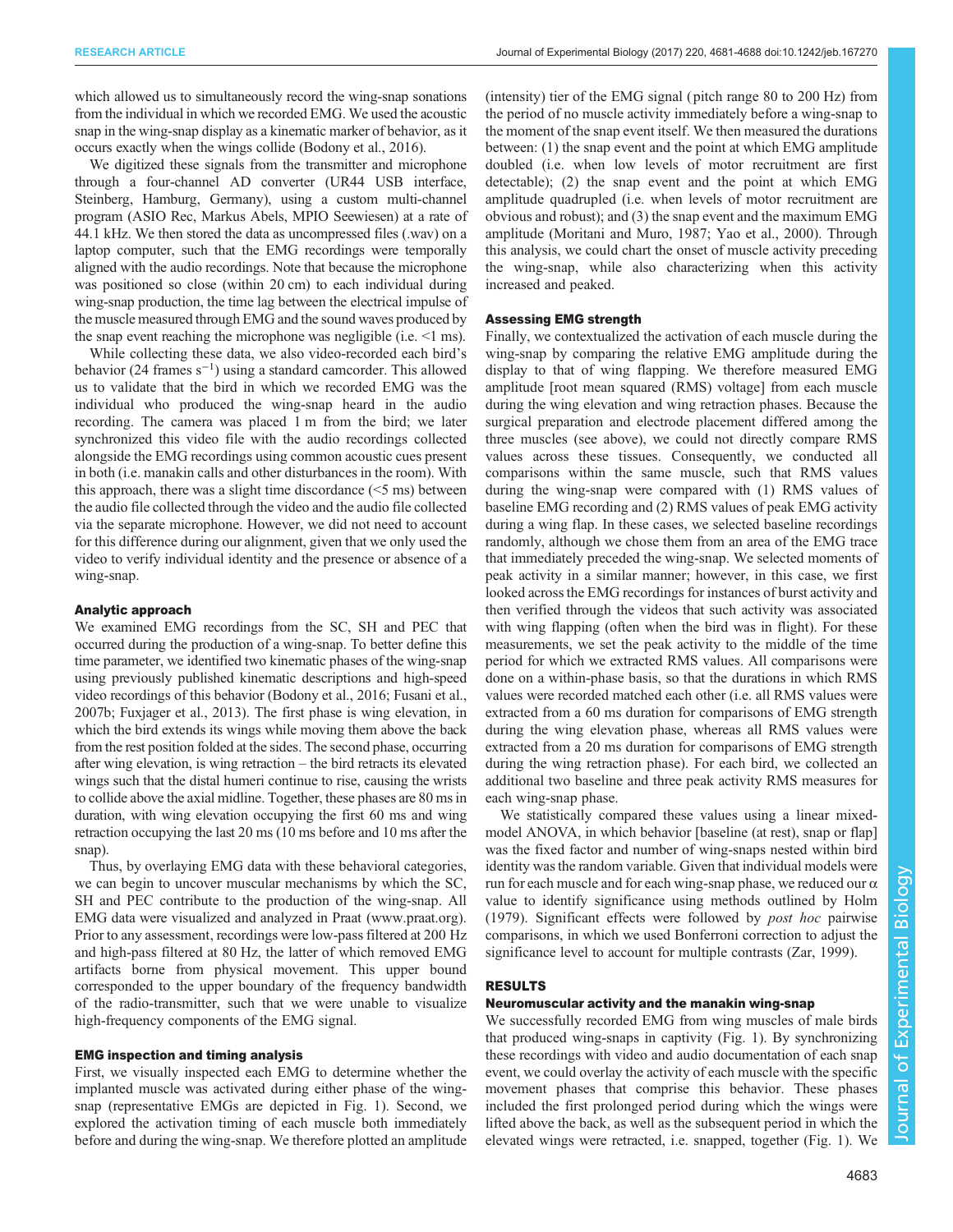which allowed us to simultaneously record the wing-snap sonations from the individual in which we recorded EMG. We used the acoustic snap in the wing-snap display as a kinematic marker of behavior, as it occurs exactly when the wings collide [\(Bodony et al., 2016\)](#page-6-0).

We digitized these signals from the transmitter and microphone through a four-channel AD converter (UR44 USB interface, Steinberg, Hamburg, Germany), using a custom multi-channel program (ASIO Rec, Markus Abels, MPIO Seewiesen) at a rate of 44.1 kHz. We then stored the data as uncompressed files (.wav) on a laptop computer, such that the EMG recordings were temporally aligned with the audio recordings. Note that because the microphone was positioned so close (within 20 cm) to each individual during wing-snap production, the time lag between the electrical impulse of the muscle measured through EMG and the sound waves produced by the snap event reaching the microphone was negligible (i.e. <1 ms).

While collecting these data, we also video-recorded each bird's behavior (24 frames s−<sup>1</sup> ) using a standard camcorder. This allowed us to validate that the bird in which we recorded EMG was the individual who produced the wing-snap heard in the audio recording. The camera was placed 1 m from the bird; we later synchronized this video file with the audio recordings collected alongside the EMG recordings using common acoustic cues present in both (i.e. manakin calls and other disturbances in the room). With this approach, there was a slight time discordance (<5 ms) between the audio file collected through the video and the audio file collected via the separate microphone. However, we did not need to account for this difference during our alignment, given that we only used the video to verify individual identity and the presence or absence of a wing-snap.

## Analytic approach

We examined EMG recordings from the SC, SH and PEC that occurred during the production of a wing-snap. To better define this time parameter, we identified two kinematic phases of the wing-snap using previously published kinematic descriptions and high-speed video recordings of this behavior [\(Bodony et al., 2016](#page-6-0); [Fusani et al.,](#page-6-0) [2007b](#page-6-0); [Fuxjager et al., 2013](#page-6-0)). The first phase is wing elevation, in which the bird extends its wings while moving them above the back from the rest position folded at the sides. The second phase, occurring after wing elevation, is wing retraction – the bird retracts its elevated wings such that the distal humeri continue to rise, causing the wrists to collide above the axial midline. Together, these phases are 80 ms in duration, with wing elevation occupying the first 60 ms and wing retraction occupying the last 20 ms (10 ms before and 10 ms after the snap).

Thus, by overlaying EMG data with these behavioral categories, we can begin to uncover muscular mechanisms by which the SC, SH and PEC contribute to the production of the wing-snap. All EMG data were visualized and analyzed in Praat (www.praat.org). Prior to any assessment, recordings were low-pass filtered at 200 Hz and high-pass filtered at 80 Hz, the latter of which removed EMG artifacts borne from physical movement. This upper bound corresponded to the upper boundary of the frequency bandwidth of the radio-transmitter, such that we were unable to visualize high-frequency components of the EMG signal.

# EMG inspection and timing analysis

First, we visually inspected each EMG to determine whether the implanted muscle was activated during either phase of the wingsnap (representative EMGs are depicted in [Fig. 1\)](#page-3-0). Second, we explored the activation timing of each muscle both immediately before and during the wing-snap. We therefore plotted an amplitude (intensity) tier of the EMG signal ( pitch range 80 to 200 Hz) from the period of no muscle activity immediately before a wing-snap to the moment of the snap event itself. We then measured the durations between: (1) the snap event and the point at which EMG amplitude doubled (i.e. when low levels of motor recruitment are first detectable); (2) the snap event and the point at which EMG amplitude quadrupled (i.e. when levels of motor recruitment are obvious and robust); and (3) the snap event and the maximum EMG amplitude ([Moritani and Muro, 1987; Yao et al., 2000\)](#page-7-0). Through this analysis, we could chart the onset of muscle activity preceding the wing-snap, while also characterizing when this activity increased and peaked.

# Assessing EMG strength

Finally, we contextualized the activation of each muscle during the wing-snap by comparing the relative EMG amplitude during the display to that of wing flapping. We therefore measured EMG amplitude [root mean squared (RMS) voltage] from each muscle during the wing elevation and wing retraction phases. Because the surgical preparation and electrode placement differed among the three muscles (see above), we could not directly compare RMS values across these tissues. Consequently, we conducted all comparisons within the same muscle, such that RMS values during the wing-snap were compared with (1) RMS values of baseline EMG recording and (2) RMS values of peak EMG activity during a wing flap. In these cases, we selected baseline recordings randomly, although we chose them from an area of the EMG trace that immediately preceded the wing-snap. We selected moments of peak activity in a similar manner; however, in this case, we first looked across the EMG recordings for instances of burst activity and then verified through the videos that such activity was associated with wing flapping (often when the bird was in flight). For these measurements, we set the peak activity to the middle of the time period for which we extracted RMS values. All comparisons were done on a within-phase basis, so that the durations in which RMS values were recorded matched each other (i.e. all RMS values were extracted from a 60 ms duration for comparisons of EMG strength during the wing elevation phase, whereas all RMS values were extracted from a 20 ms duration for comparisons of EMG strength during the wing retraction phase). For each bird, we collected an additional two baseline and three peak activity RMS measures for each wing-snap phase.

We statistically compared these values using a linear mixedmodel ANOVA, in which behavior [baseline (at rest), snap or flap] was the fixed factor and number of wing-snaps nested within bird identity was the random variable. Given that individual models were run for each muscle and for each wing-snap phase, we reduced our  $\alpha$ value to identify significance using methods outlined by [Holm](#page-7-0) [\(1979\)](#page-7-0). Significant effects were followed by post hoc pairwise comparisons, in which we used Bonferroni correction to adjust the significance level to account for multiple contrasts ([Zar, 1999\)](#page-7-0).

# RESULTS

# Neuromuscular activity and the manakin wing-snap

We successfully recorded EMG from wing muscles of male birds that produced wing-snaps in captivity [\(Fig. 1\)](#page-3-0). By synchronizing these recordings with video and audio documentation of each snap event, we could overlay the activity of each muscle with the specific movement phases that comprise this behavior. These phases included the first prolonged period during which the wings were lifted above the back, as well as the subsequent period in which the elevated wings were retracted, i.e. snapped, together ([Fig. 1\)](#page-3-0). We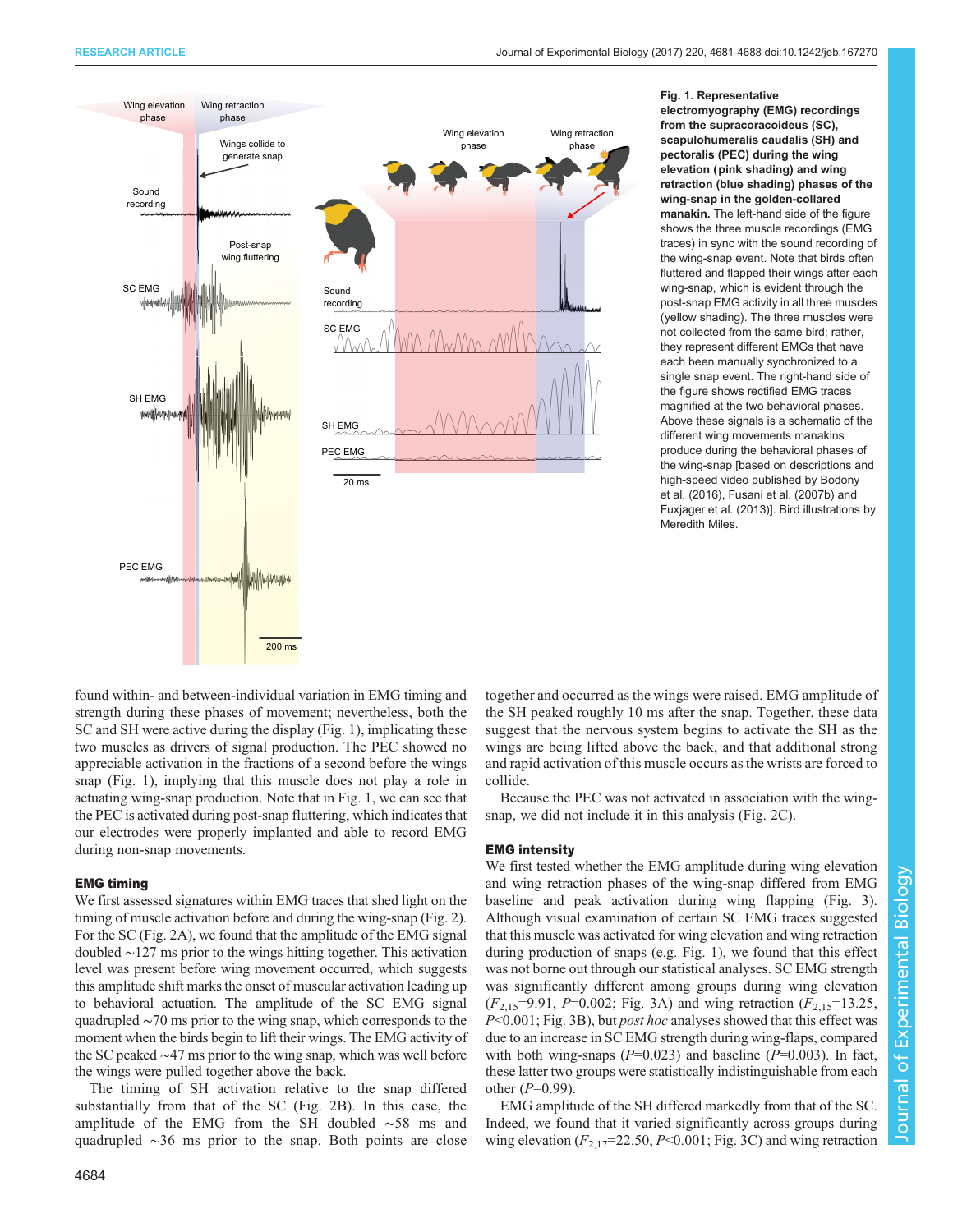<span id="page-3-0"></span>

Fig. 1. Representative electromyography (EMG) recordings from the supracoracoideus (SC), scapulohumeralis caudalis (SH) and pectoralis (PEC) during the wing elevation (pink shading) and wing retraction (blue shading) phases of the wing-snap in the golden-collared manakin. The left-hand side of the figure shows the three muscle recordings (EMG traces) in sync with the sound recording of the wing-snap event. Note that birds often fluttered and flapped their wings after each wing-snap, which is evident through the post-snap EMG activity in all three muscles (yellow shading). The three muscles were not collected from the same bird; rather, they represent different EMGs that have each been manually synchronized to a single snap event. The right-hand side of the figure shows rectified EMG traces magnified at the two behavioral phases. Above these signals is a schematic of the different wing movements manakins produce during the behavioral phases of the wing-snap [based on descriptions and high-speed video published by [Bodony](#page-6-0) [et al. \(2016\), Fusani et al. \(2007b\)](#page-6-0) and [Fuxjager et al. \(2013\)\]](#page-6-0). Bird illustrations by Meredith Miles.

found within- and between-individual variation in EMG timing and strength during these phases of movement; nevertheless, both the SC and SH were active during the display (Fig. 1), implicating these two muscles as drivers of signal production. The PEC showed no appreciable activation in the fractions of a second before the wings snap (Fig. 1), implying that this muscle does not play a role in actuating wing-snap production. Note that in Fig. 1, we can see that the PEC is activated during post-snap fluttering, which indicates that our electrodes were properly implanted and able to record EMG during non-snap movements.

## EMG timing

We first assessed signatures within EMG traces that shed light on the timing of muscle activation before and during the wing-snap [\(Fig. 2\)](#page-4-0). For the SC [\(Fig. 2A](#page-4-0)), we found that the amplitude of the EMG signal doubled ∼127 ms prior to the wings hitting together. This activation level was present before wing movement occurred, which suggests this amplitude shift marks the onset of muscular activation leading up to behavioral actuation. The amplitude of the SC EMG signal quadrupled ∼70 ms prior to the wing snap, which corresponds to the moment when the birds begin to lift their wings. The EMG activity of the SC peaked ∼47 ms prior to the wing snap, which was well before the wings were pulled together above the back.

The timing of SH activation relative to the snap differed substantially from that of the SC ([Fig. 2B](#page-4-0)). In this case, the amplitude of the EMG from the SH doubled ∼58 ms and quadrupled ∼36 ms prior to the snap. Both points are close together and occurred as the wings were raised. EMG amplitude of the SH peaked roughly 10 ms after the snap. Together, these data suggest that the nervous system begins to activate the SH as the wings are being lifted above the back, and that additional strong and rapid activation of this muscle occurs as the wrists are forced to collide.

Because the PEC was not activated in association with the wingsnap, we did not include it in this analysis ([Fig. 2](#page-4-0)C).

# EMG intensity

We first tested whether the EMG amplitude during wing elevation and wing retraction phases of the wing-snap differed from EMG baseline and peak activation during wing flapping ([Fig. 3\)](#page-4-0). Although visual examination of certain SC EMG traces suggested that this muscle was activated for wing elevation and wing retraction during production of snaps (e.g. Fig. 1), we found that this effect was not borne out through our statistical analyses. SC EMG strength was significantly different among groups during wing elevation  $(F_{2,15}=9.91, P=0.002;$  [Fig. 3](#page-4-0)A) and wing retraction  $(F_{2,15}=13.25,$ P<0.001; [Fig. 3B](#page-4-0)), but *post hoc* analyses showed that this effect was due to an increase in SC EMG strength during wing-flaps, compared with both wing-snaps ( $P=0.023$ ) and baseline ( $P=0.003$ ). In fact, these latter two groups were statistically indistinguishable from each other  $(P=0.99)$ .

EMG amplitude of the SH differed markedly from that of the SC. Indeed, we found that it varied significantly across groups during wing elevation  $(F_{2,17}=22.50, P<0.001;$  [Fig. 3C](#page-4-0)) and wing retraction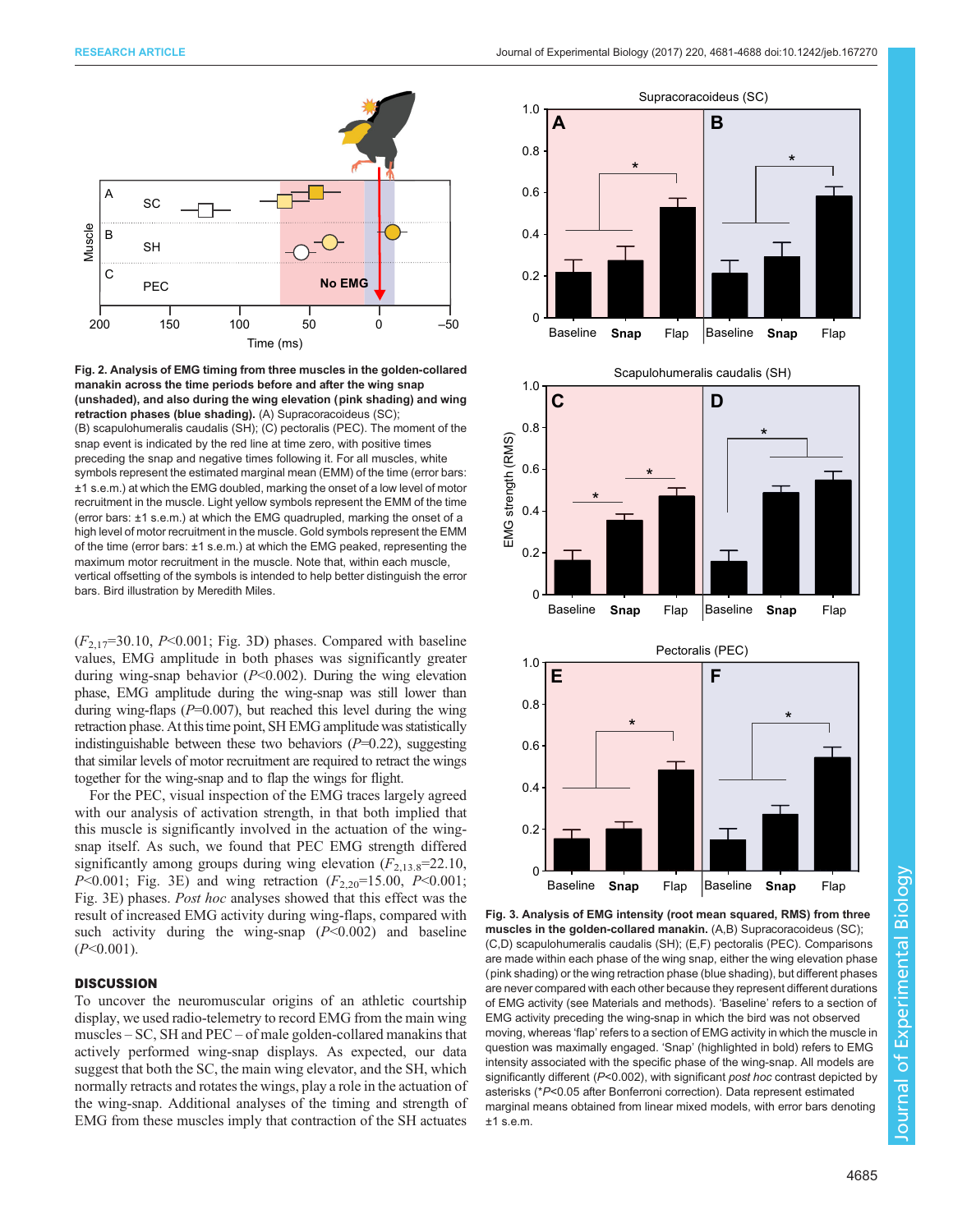<span id="page-4-0"></span>

Fig. 2. Analysis of EMG timing from three muscles in the golden-collared manakin across the time periods before and after the wing snap (unshaded), and also during the wing elevation (pink shading) and wing retraction phases (blue shading). (A) Supracoracoideus (SC); (B) scapulohumeralis caudalis (SH); (C) pectoralis (PEC). The moment of the snap event is indicated by the red line at time zero, with positive times preceding the snap and negative times following it. For all muscles, white symbols represent the estimated marginal mean (EMM) of the time (error bars: ±1 s.e.m.) at which the EMG doubled, marking the onset of a low level of motor recruitment in the muscle. Light yellow symbols represent the EMM of the time (error bars: ±1 s.e.m.) at which the EMG quadrupled, marking the onset of a high level of motor recruitment in the muscle. Gold symbols represent the EMM of the time (error bars: ±1 s.e.m.) at which the EMG peaked, representing the maximum motor recruitment in the muscle. Note that, within each muscle, vertical offsetting of the symbols is intended to help better distinguish the error bars. Bird illustration by Meredith Miles.

 $(F_{2,17}=30.10, P<0.001;$  Fig. 3D) phases. Compared with baseline values, EMG amplitude in both phases was significantly greater during wing-snap behavior  $(P<0.002)$ . During the wing elevation phase, EMG amplitude during the wing-snap was still lower than during wing-flaps  $(P=0.007)$ , but reached this level during the wing retraction phase. At this time point, SH EMG amplitude was statistically indistinguishable between these two behaviors  $(P=0.22)$ , suggesting that similar levels of motor recruitment are required to retract the wings together for the wing-snap and to flap the wings for flight.

For the PEC, visual inspection of the EMG traces largely agreed with our analysis of activation strength, in that both implied that this muscle is significantly involved in the actuation of the wingsnap itself. As such, we found that PEC EMG strength differed significantly among groups during wing elevation  $(F_{2,13.8} = 22.10,$ P<0.001; Fig. 3E) and wing retraction  $(F_{2,20} = 15.00, P<0.001;$ Fig. 3E) phases. Post hoc analyses showed that this effect was the result of increased EMG activity during wing-flaps, compared with such activity during the wing-snap  $(P<0.002)$  and baseline  $(P<0.001)$ .

# **DISCUSSION**

To uncover the neuromuscular origins of an athletic courtship display, we used radio-telemetry to record EMG from the main wing muscles – SC, SH and PEC – of male golden-collared manakins that actively performed wing-snap displays. As expected, our data suggest that both the SC, the main wing elevator, and the SH, which normally retracts and rotates the wings, play a role in the actuation of the wing-snap. Additional analyses of the timing and strength of EMG from these muscles imply that contraction of the SH actuates



Fig. 3. Analysis of EMG intensity (root mean squared, RMS) from three muscles in the golden-collared manakin. (A,B) Supracoracoideus (SC); (C,D) scapulohumeralis caudalis (SH); (E,F) pectoralis (PEC). Comparisons are made within each phase of the wing snap, either the wing elevation phase (pink shading) or the wing retraction phase (blue shading), but different phases are never compared with each other because they represent different durations of EMG activity (see Materials and methods). 'Baseline' refers to a section of EMG activity preceding the wing-snap in which the bird was not observed moving, whereas 'flap' refers to a section of EMG activity in which the muscle in question was maximally engaged. 'Snap' (highlighted in bold) refers to EMG intensity associated with the specific phase of the wing-snap. All models are significantly different (P<0.002), with significant post hoc contrast depicted by asterisks (\*P<0.05 after Bonferroni correction). Data represent estimated marginal means obtained from linear mixed models, with error bars denoting  $±1$  s.e.m.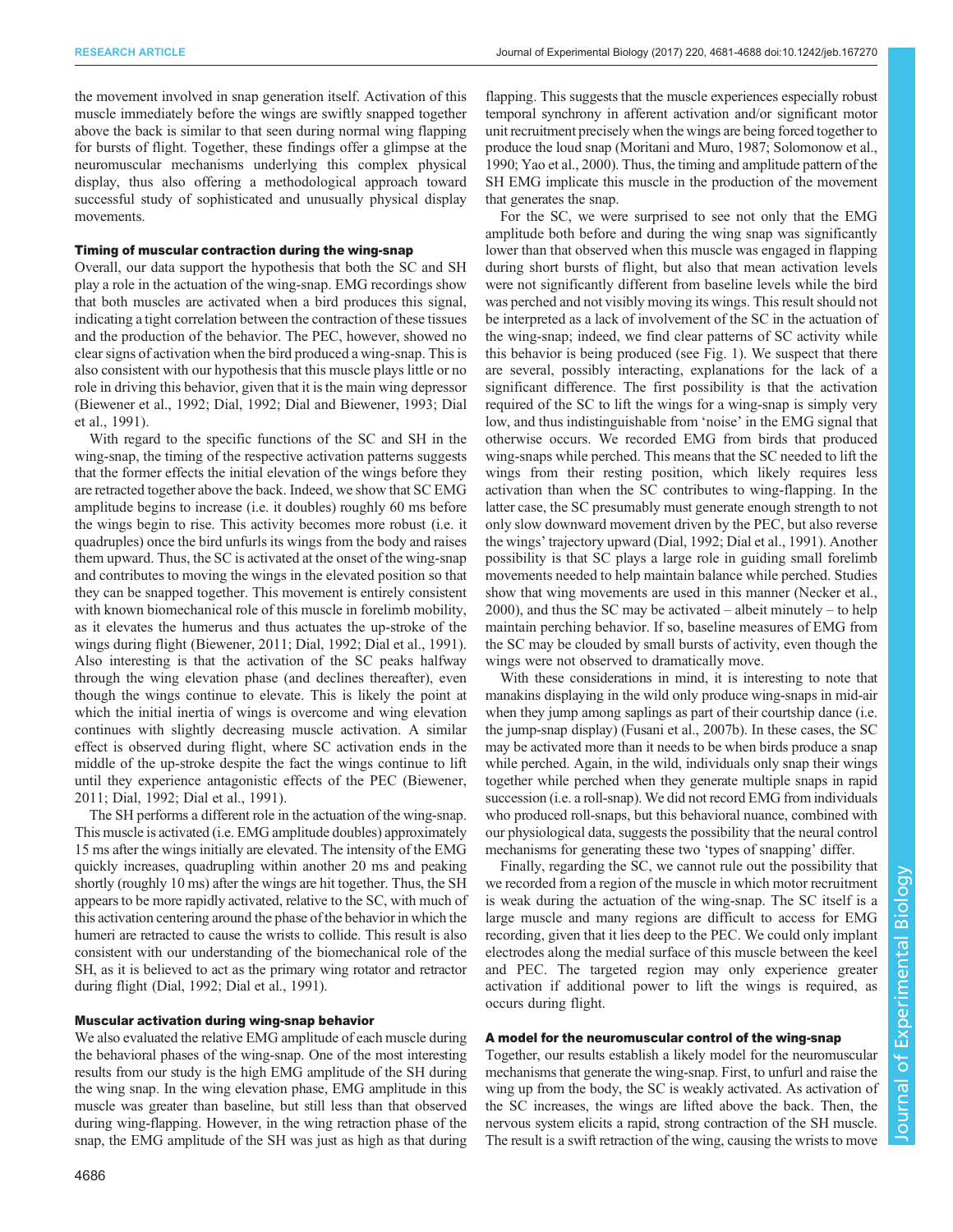the movement involved in snap generation itself. Activation of this muscle immediately before the wings are swiftly snapped together above the back is similar to that seen during normal wing flapping for bursts of flight. Together, these findings offer a glimpse at the neuromuscular mechanisms underlying this complex physical display, thus also offering a methodological approach toward successful study of sophisticated and unusually physical display movements.

# Timing of muscular contraction during the wing-snap

Overall, our data support the hypothesis that both the SC and SH play a role in the actuation of the wing-snap. EMG recordings show that both muscles are activated when a bird produces this signal, indicating a tight correlation between the contraction of these tissues and the production of the behavior. The PEC, however, showed no clear signs of activation when the bird produced a wing-snap. This is also consistent with our hypothesis that this muscle plays little or no role in driving this behavior, given that it is the main wing depressor [\(Biewener et al., 1992](#page-6-0); [Dial, 1992; Dial and Biewener, 1993](#page-6-0); [Dial](#page-6-0) [et al., 1991\)](#page-6-0).

With regard to the specific functions of the SC and SH in the wing-snap, the timing of the respective activation patterns suggests that the former effects the initial elevation of the wings before they are retracted together above the back. Indeed, we show that SC EMG amplitude begins to increase (i.e. it doubles) roughly 60 ms before the wings begin to rise. This activity becomes more robust (i.e. it quadruples) once the bird unfurls its wings from the body and raises them upward. Thus, the SC is activated at the onset of the wing-snap and contributes to moving the wings in the elevated position so that they can be snapped together. This movement is entirely consistent with known biomechanical role of this muscle in forelimb mobility, as it elevates the humerus and thus actuates the up-stroke of the wings during flight ([Biewener, 2011](#page-6-0); [Dial, 1992; Dial et al., 1991\)](#page-6-0). Also interesting is that the activation of the SC peaks halfway through the wing elevation phase (and declines thereafter), even though the wings continue to elevate. This is likely the point at which the initial inertia of wings is overcome and wing elevation continues with slightly decreasing muscle activation. A similar effect is observed during flight, where SC activation ends in the middle of the up-stroke despite the fact the wings continue to lift until they experience antagonistic effects of the PEC ([Biewener,](#page-6-0) [2011](#page-6-0); [Dial, 1992](#page-6-0); [Dial et al., 1991](#page-6-0)).

The SH performs a different role in the actuation of the wing-snap. This muscle is activated (i.e. EMG amplitude doubles) approximately 15 ms after the wings initially are elevated. The intensity of the EMG quickly increases, quadrupling within another 20 ms and peaking shortly (roughly 10 ms) after the wings are hit together. Thus, the SH appears to be more rapidly activated, relative to the SC, with much of this activation centering around the phase of the behavior in which the humeri are retracted to cause the wrists to collide. This result is also consistent with our understanding of the biomechanical role of the SH, as it is believed to act as the primary wing rotator and retractor during flight ([Dial, 1992](#page-6-0); [Dial et al., 1991](#page-6-0)).

# Muscular activation during wing-snap behavior

We also evaluated the relative EMG amplitude of each muscle during the behavioral phases of the wing-snap. One of the most interesting results from our study is the high EMG amplitude of the SH during the wing snap. In the wing elevation phase, EMG amplitude in this muscle was greater than baseline, but still less than that observed during wing-flapping. However, in the wing retraction phase of the snap, the EMG amplitude of the SH was just as high as that during

4686

flapping. This suggests that the muscle experiences especially robust temporal synchrony in afferent activation and/or significant motor unit recruitment precisely when the wings are being forced together to produce the loud snap [\(Moritani and Muro, 1987](#page-7-0); [Solomonow et al.,](#page-7-0) [1990; Yao et al., 2000\)](#page-7-0). Thus, the timing and amplitude pattern of the SH EMG implicate this muscle in the production of the movement that generates the snap.

For the SC, we were surprised to see not only that the EMG amplitude both before and during the wing snap was significantly lower than that observed when this muscle was engaged in flapping during short bursts of flight, but also that mean activation levels were not significantly different from baseline levels while the bird was perched and not visibly moving its wings. This result should not be interpreted as a lack of involvement of the SC in the actuation of the wing-snap; indeed, we find clear patterns of SC activity while this behavior is being produced (see [Fig. 1\)](#page-3-0). We suspect that there are several, possibly interacting, explanations for the lack of a significant difference. The first possibility is that the activation required of the SC to lift the wings for a wing-snap is simply very low, and thus indistinguishable from 'noise' in the EMG signal that otherwise occurs. We recorded EMG from birds that produced wing-snaps while perched. This means that the SC needed to lift the wings from their resting position, which likely requires less activation than when the SC contributes to wing-flapping. In the latter case, the SC presumably must generate enough strength to not only slow downward movement driven by the PEC, but also reverse the wings' trajectory upward [\(Dial, 1992; Dial et al., 1991\)](#page-6-0). Another possibility is that SC plays a large role in guiding small forelimb movements needed to help maintain balance while perched. Studies show that wing movements are used in this manner [\(Necker et al.,](#page-7-0) [2000\)](#page-7-0), and thus the SC may be activated – albeit minutely – to help maintain perching behavior. If so, baseline measures of EMG from the SC may be clouded by small bursts of activity, even though the wings were not observed to dramatically move.

With these considerations in mind, it is interesting to note that manakins displaying in the wild only produce wing-snaps in mid-air when they jump among saplings as part of their courtship dance (i.e. the jump-snap display) [\(Fusani et al., 2007b](#page-6-0)). In these cases, the SC may be activated more than it needs to be when birds produce a snap while perched. Again, in the wild, individuals only snap their wings together while perched when they generate multiple snaps in rapid succession (i.e. a roll-snap). We did not record EMG from individuals who produced roll-snaps, but this behavioral nuance, combined with our physiological data, suggests the possibility that the neural control mechanisms for generating these two 'types of snapping' differ.

Finally, regarding the SC, we cannot rule out the possibility that we recorded from a region of the muscle in which motor recruitment is weak during the actuation of the wing-snap. The SC itself is a large muscle and many regions are difficult to access for EMG recording, given that it lies deep to the PEC. We could only implant electrodes along the medial surface of this muscle between the keel and PEC. The targeted region may only experience greater activation if additional power to lift the wings is required, as occurs during flight.

# A model for the neuromuscular control of the wing-snap

Together, our results establish a likely model for the neuromuscular mechanisms that generate the wing-snap. First, to unfurl and raise the wing up from the body, the SC is weakly activated. As activation of the SC increases, the wings are lifted above the back. Then, the nervous system elicits a rapid, strong contraction of the SH muscle. The result is a swift retraction of the wing, causing the wrists to move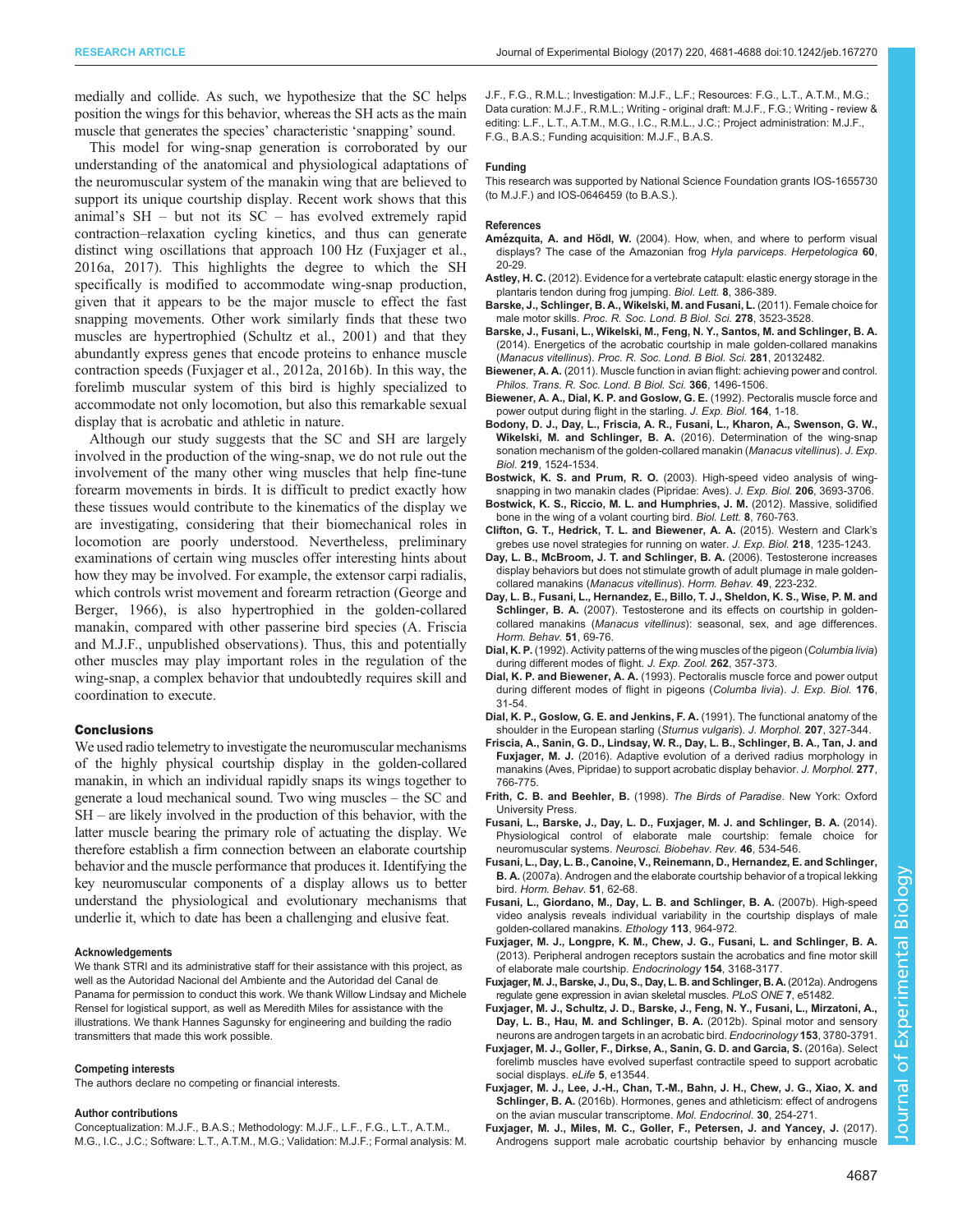<span id="page-6-0"></span>medially and collide. As such, we hypothesize that the SC helps position the wings for this behavior, whereas the SH acts as the main muscle that generates the species' characteristic 'snapping' sound.

This model for wing-snap generation is corroborated by our understanding of the anatomical and physiological adaptations of the neuromuscular system of the manakin wing that are believed to support its unique courtship display. Recent work shows that this animal's SH – but not its SC – has evolved extremely rapid contraction–relaxation cycling kinetics, and thus can generate distinct wing oscillations that approach 100 Hz (Fuxjager et al., 2016a, 2017). This highlights the degree to which the SH specifically is modified to accommodate wing-snap production, given that it appears to be the major muscle to effect the fast snapping movements. Other work similarly finds that these two muscles are hypertrophied [\(Schultz et al., 2001](#page-7-0)) and that they abundantly express genes that encode proteins to enhance muscle contraction speeds (Fuxjager et al., 2012a, 2016b). In this way, the forelimb muscular system of this bird is highly specialized to accommodate not only locomotion, but also this remarkable sexual display that is acrobatic and athletic in nature.

Although our study suggests that the SC and SH are largely involved in the production of the wing-snap, we do not rule out the involvement of the many other wing muscles that help fine-tune forearm movements in birds. It is difficult to predict exactly how these tissues would contribute to the kinematics of the display we are investigating, considering that their biomechanical roles in locomotion are poorly understood. Nevertheless, preliminary examinations of certain wing muscles offer interesting hints about how they may be involved. For example, the extensor carpi radialis, which controls wrist movement and forearm retraction [\(George and](#page-7-0) [Berger, 1966\)](#page-7-0), is also hypertrophied in the golden-collared manakin, compared with other passerine bird species (A. Friscia and M.J.F., unpublished observations). Thus, this and potentially other muscles may play important roles in the regulation of the wing-snap, a complex behavior that undoubtedly requires skill and coordination to execute.

### **Conclusions**

We used radio telemetry to investigate the neuromuscular mechanisms of the highly physical courtship display in the golden-collared manakin, in which an individual rapidly snaps its wings together to generate a loud mechanical sound. Two wing muscles – the SC and SH – are likely involved in the production of this behavior, with the latter muscle bearing the primary role of actuating the display. We therefore establish a firm connection between an elaborate courtship behavior and the muscle performance that produces it. Identifying the key neuromuscular components of a display allows us to better understand the physiological and evolutionary mechanisms that underlie it, which to date has been a challenging and elusive feat.

#### Acknowledgements

We thank STRI and its administrative staff for their assistance with this project, as well as the Autoridad Nacional del Ambiente and the Autoridad del Canal de Panama for permission to conduct this work. We thank Willow Lindsay and Michele Rensel for logistical support, as well as Meredith Miles for assistance with the illustrations. We thank Hannes Sagunsky for engineering and building the radio transmitters that made this work possible.

# Competing interests

The authors declare no competing or financial interests.

#### Author contributions

Conceptualization: M.J.F., B.A.S.; Methodology: M.J.F., L.F., F.G., L.T., A.T.M., M.G., I.C., J.C.; Software: L.T., A.T.M., M.G.; Validation: M.J.F.; Formal analysis: M. J.F., F.G., R.M.L.; Investigation: M.J.F., L.F.; Resources: F.G., L.T., A.T.M., M.G.; Data curation: M.J.F., R.M.L.; Writing - original draft: M.J.F., F.G.; Writing - review & editing: L.F., L.T., A.T.M., M.G., I.C., R.M.L., J.C.; Project administration: M.J.F., F.G., B.A.S.; Funding acquisition: M.J.F., B.A.S.

#### Funding

This research was supported by National Science Foundation grants IOS-1655730 (to M.J.F.) and IOS-0646459 (to B.A.S.).

#### References

- Amézquita, A. and Hödl, W. [\(2004\). How, when, and where to perform visual](http://dx.doi.org/10.1655/02-51) [displays? The case of the Amazonian frog](http://dx.doi.org/10.1655/02-51) Hyla parviceps. Herpetologica 60, [20-29.](http://dx.doi.org/10.1655/02-51)
- Astley, H. C. [\(2012\). Evidence for a vertebrate catapult: elastic energy storage in the](http://dx.doi.org/10.1098/rsbl.2011.0982) [plantaris tendon during frog jumping.](http://dx.doi.org/10.1098/rsbl.2011.0982) Biol. Lett. 8, 386-389.
- [Barske, J., Schlinger, B. A., Wikelski, M. and Fusani, L.](http://dx.doi.org/10.1098/rspb.2011.0382) (2011). Female choice for male motor skills. [Proc. R. Soc. Lond. B Biol. Sci.](http://dx.doi.org/10.1098/rspb.2011.0382) 278, 3523-3528.
- [Barske, J., Fusani, L., Wikelski, M., Feng, N. Y., Santos, M. and Schlinger, B. A.](http://dx.doi.org/10.1098/rspb.2013.2482) [\(2014\). Energetics of the acrobatic courtship in male golden-collared manakins](http://dx.doi.org/10.1098/rspb.2013.2482) (Manacus vitellinus). [Proc. R. Soc. Lond. B Biol. Sci.](http://dx.doi.org/10.1098/rspb.2013.2482) 281, 20132482.
- Biewener, A. A. [\(2011\). Muscle function in avian flight: achieving power and control.](http://dx.doi.org/10.1098/rstb.2010.0353) [Philos. Trans. R. Soc. Lond. B Biol. Sci.](http://dx.doi.org/10.1098/rstb.2010.0353) 366, 1496-1506.
- Biewener, A. A., Dial, K. P. and Goslow, G. E. (1992). Pectoralis muscle force and power output during flight in the starling. J. Exp. Biol. 164, 1-18.
- [Bodony, D. J., Day, L., Friscia, A. R., Fusani, L., Kharon, A., Swenson, G. W.,](http://dx.doi.org/10.1242/jeb.128231) Wikelski, M. and Schlinger, B. A. [\(2016\). Determination of the wing-snap](http://dx.doi.org/10.1242/jeb.128231) [sonation mechanism of the golden-collared manakin \(](http://dx.doi.org/10.1242/jeb.128231)Manacus vitellinus). J. Exp. Biol. 219[, 1524-1534.](http://dx.doi.org/10.1242/jeb.128231)
- Bostwick, K. S. and Prum, R. O. [\(2003\). High-speed video analysis of wing](http://dx.doi.org/10.1242/jeb.00598)[snapping in two manakin clades \(Pipridae: Aves\).](http://dx.doi.org/10.1242/jeb.00598) J. Exp. Biol. 206, 3693-3706.
- [Bostwick, K. S., Riccio, M. L. and Humphries, J. M.](http://dx.doi.org/10.1098/rsbl.2012.0382) (2012). Massive, solidified [bone in the wing of a volant courting bird.](http://dx.doi.org/10.1098/rsbl.2012.0382) Biol. Lett. 8, 760-763.
- [Clifton, G. T., Hedrick, T. L. and Biewener, A. A.](http://dx.doi.org/10.1242/jeb.118745) (2015). Western and Clark's [grebes use novel strategies for running on water.](http://dx.doi.org/10.1242/jeb.118745) J. Exp. Biol. 218, 1235-1243.
- [Day, L. B., McBroom, J. T. and Schlinger, B. A.](http://dx.doi.org/10.1016/j.yhbeh.2005.07.006) (2006). Testosterone increases [display behaviors but does not stimulate growth of adult plumage in male golden](http://dx.doi.org/10.1016/j.yhbeh.2005.07.006)[collared manakins \(](http://dx.doi.org/10.1016/j.yhbeh.2005.07.006)Manacus vitellinus). Horm. Behav. 49, 223-232.
- [Day, L. B., Fusani, L., Hernandez, E., Billo, T. J., Sheldon, K. S., Wise, P. M. and](http://dx.doi.org/10.1016/j.yhbeh.2006.08.006) Schlinger, B. A. [\(2007\). Testosterone and its effects on courtship in golden](http://dx.doi.org/10.1016/j.yhbeh.2006.08.006)collared manakins (Manacus vitellinus[\): seasonal, sex, and age differences.](http://dx.doi.org/10.1016/j.yhbeh.2006.08.006) [Horm. Behav.](http://dx.doi.org/10.1016/j.yhbeh.2006.08.006) 51, 69-76.
- Dial, K. P. [\(1992\). Activity patterns of the wing muscles of the pigeon \(](http://dx.doi.org/10.1002/jez.1402620402)Columbia livia) [during different modes of flight.](http://dx.doi.org/10.1002/jez.1402620402) J. Exp. Zool. 262, 357-373.
- Dial, K. P. and Biewener, A. A. (1993). Pectoralis muscle force and power output during different modes of flight in pigeons (Columba livia). J. Exp. Biol. 176, 31-54.
- [Dial, K. P., Goslow, G. E. and Jenkins, F. A.](http://dx.doi.org/10.1002/jmor.1052070309) (1991). The functional anatomy of the [shoulder in the European starling \(](http://dx.doi.org/10.1002/jmor.1052070309)Sturnus vulgaris). J. Morphol. 207, 327-344.
- [Friscia, A., Sanin, G. D., Lindsay, W. R., Day, L. B., Schlinger, B. A., Tan, J. and](http://dx.doi.org/10.1002/jmor.20534) Fuxjager, M. J. [\(2016\). Adaptive evolution of a derived radius morphology in](http://dx.doi.org/10.1002/jmor.20534) [manakins \(Aves, Pipridae\) to support acrobatic display behavior.](http://dx.doi.org/10.1002/jmor.20534) J. Morphol. 277, [766-775.](http://dx.doi.org/10.1002/jmor.20534)
- Frith, C. B. and Beehler, B. (1998). The Birds of Paradise. New York: Oxford University Press.
- [Fusani, L., Barske, J., Day, L. D., Fuxjager, M. J. and Schlinger, B. A.](http://dx.doi.org/10.1016/j.neubiorev.2014.07.017) (2014). [Physiological control of elaborate male courtship: female choice for](http://dx.doi.org/10.1016/j.neubiorev.2014.07.017) neuromuscular systems. [Neurosci. Biobehav. Rev.](http://dx.doi.org/10.1016/j.neubiorev.2014.07.017) 46, 534-546.
- [Fusani, L., Day, L. B., Canoine, V., Reinemann, D., Hernandez, E. and Schlinger,](http://dx.doi.org/10.1016/j.yhbeh.2006.08.005) B. A. [\(2007a\). Androgen and the elaborate courtship behavior of a tropical lekking](http://dx.doi.org/10.1016/j.yhbeh.2006.08.005) bird. [Horm. Behav.](http://dx.doi.org/10.1016/j.yhbeh.2006.08.005) 51, 62-68.
- [Fusani, L., Giordano, M., Day, L. B. and Schlinger, B. A.](http://dx.doi.org/10.1111/j.1439-0310.2007.01395.x) (2007b). High-speed [video analysis reveals individual variability in the courtship displays of male](http://dx.doi.org/10.1111/j.1439-0310.2007.01395.x) [golden-collared manakins.](http://dx.doi.org/10.1111/j.1439-0310.2007.01395.x) Ethology 113, 964-972.
- [Fuxjager, M. J., Longpre, K. M., Chew, J. G., Fusani, L. and Schlinger, B. A.](http://dx.doi.org/10.1210/en.2013-1302) [\(2013\). Peripheral androgen receptors sustain the acrobatics and fine motor skill](http://dx.doi.org/10.1210/en.2013-1302) [of elaborate male courtship.](http://dx.doi.org/10.1210/en.2013-1302) Endocrinology 154, 3168-3177.
- [Fuxjager, M. J., Barske, J., Du, S., Day, L. B. and Schlinger, B. A.](http://dx.doi.org/10.1371/journal.pone.0051482) (2012a). Androgens [regulate gene expression in avian skeletal muscles.](http://dx.doi.org/10.1371/journal.pone.0051482) PLoS ONE 7, e51482.
- [Fuxjager, M. J., Schultz, J. D., Barske, J., Feng, N. Y., Fusani, L., Mirzatoni, A.,](http://dx.doi.org/10.1210/en.2012-1313) [Day, L. B., Hau, M. and Schlinger, B. A.](http://dx.doi.org/10.1210/en.2012-1313) (2012b). Spinal motor and sensory [neurons are androgen targets in an acrobatic bird.](http://dx.doi.org/10.1210/en.2012-1313) Endocrinology 153, 3780-3791.
- [Fuxjager, M. J., Goller, F., Dirkse, A., Sanin, G. D. and Garcia, S.](http://dx.doi.org/10.7554/eLife.13544) (2016a). Select [forelimb muscles have evolved superfast contractile speed to support acrobatic](http://dx.doi.org/10.7554/eLife.13544) [social displays.](http://dx.doi.org/10.7554/eLife.13544) eLife 5, e13544.
- [Fuxjager, M. J., Lee, J.-H., Chan, T.-M., Bahn, J. H., Chew, J. G., Xiao, X. and](http://dx.doi.org/10.1210/me.2015-1270) Schlinger, B. A. [\(2016b\). Hormones, genes and athleticism: effect of androgens](http://dx.doi.org/10.1210/me.2015-1270) [on the avian muscular transcriptome.](http://dx.doi.org/10.1210/me.2015-1270) Mol. Endocrinol. 30, 254-271.
- [Fuxjager, M. J., Miles, M. C., Goller, F., Petersen, J. and Yancey, J.](http://dx.doi.org/10.1210/en.2017-00599) (2017). [Androgens support male acrobatic courtship behavior by enhancing muscle](http://dx.doi.org/10.1210/en.2017-00599)